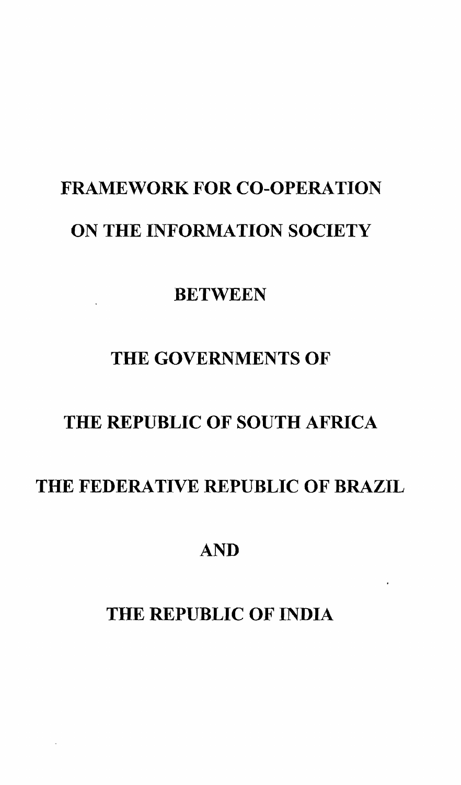# FRAMEWORK FOR CO-OPERATION ON THE INFORMATION SOCIETY

**BETWEEN** 

# THE GOVERNMENTS OF

# THE REPUBLIC OF SOUTH AFRICA

# THE FEDERATIVE REPUBLIC OF BRAZIL

# AND

# THE REPUBLIC OF INDIA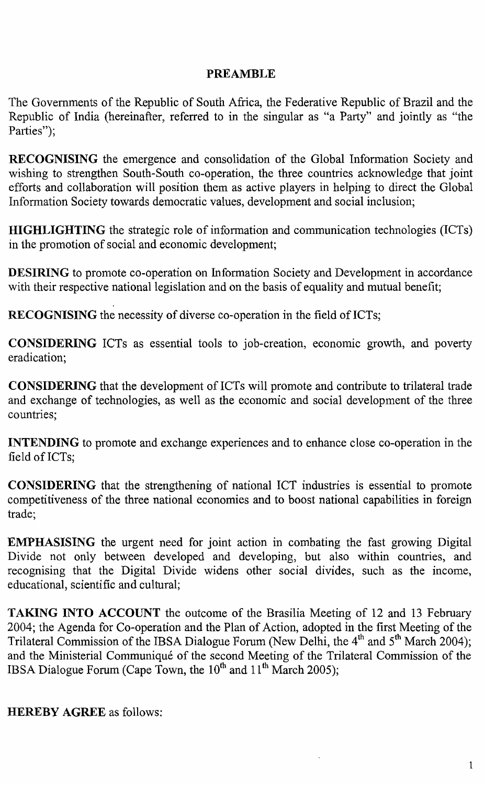#### **PREAMBLE**

The Governments of the Republic of South Africa, the Federative Republic of Brazil and the Republic of India (hereinafter, referred to in the singular as "a Party" and jointly as "the Parties":

**RECOGNISING** the emergence and consolidation of the Global Information Society and wishing to strengthen South-South co-operation, the three countries acknowledge that joint efforts and collaboration will position them as active players in helping to direct the Global Information Society towards democratic values, development and social inclusion;

**HIGHLIGHTING** the strategic role of information and communication technologies (lCTs) in the promotion of social and economic development;

**DESIRING** to promote co-operation on Information Society and Development in accordance with their respective national legislation and on the basis of equality and mutual benefit;

**RECOGNISING** the necessity of diverse co-operation in the field of ICTs;

**CONSIDERING** ICTs as essential tools to job-creation, economic growth, and poverty eradication;

**CONSIDERING** that the development of ICTs will promote and contribute to trilateral trade and exchange of technologies, as well as the economic and social development of the three countries;

**INTENDING** to promote and exchange experiences and to enhance close co-operation in the field of ICTs;

**CONSIDERING** that the strengthening of national ICT industries is essential to promote competitiveness of the three national economies and to boost national capabilities in foreign trade;

**EMPHASISING** the urgent need for joint action in combating the fast growing Digital Divide not only between developed and developing, but also within countries, and recognising that the Digital Divide widens other social divides, such as the income, educational, scientific and cultural;

**TAKING INTO ACCOUNT** the outcome of the Brasilia Meeting of 12 and 13 February 2004; the Agenda for Co-operation and the Plan of Action, adopted in the first Meeting of the Trilateral Commission of the IBSA Dialogue Forum (New Delhi, the 4<sup>th</sup> and 5<sup>th</sup> March 2004); and the Ministerial Communique of the second Meeting of the Trilateral Commission of the IBSA Dialogue Forum (Cape Town, the  $10<sup>th</sup>$  and  $11<sup>th</sup>$  March 2005);

**HEREBY AGREE** as follows: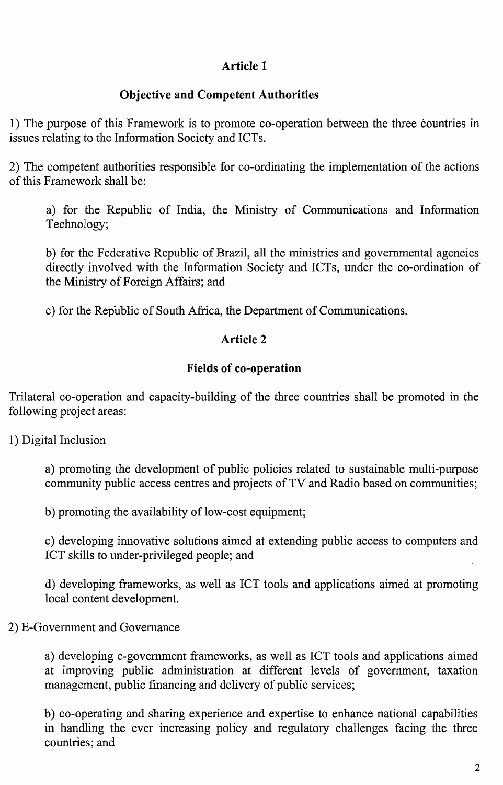# **Article 1**

# **Objective and Competent Authorities**

1) The purpose of this Framework is to promote co-operation between the three countries in issues relating to the Information Society and ICTs.

2) The competent authorities responsible for co-ordinating the implementation of the actions of this Framework shall be:

a) for the Republic of India, the Ministry of Communications and Information Technology;

b) for the Federative Republic of Brazil, all the ministries and governmental agencies directly involved with the Information Society and ICTs, under the co-ordination of the Ministry of Foreign Affairs; and

c) for the Republic of South Africa, the Department of Communications.

#### **Article 2**

#### **Fields of co-operation**

Trilateral co-operation and capacity-building of the three countries shall be promoted in the following project areas:

1) Digital Inclusion

a) promoting the development of public policies related to sustainable multi-purpose community public access centres and projects of TV and Radio based on communities;

b) promoting the availability of low-cost equipment;

c) developing innovative solutions aimed at extending public access to computers and ICT skills to under-privileged people; and

d) developing frameworks, as well as ICT tools and applications aimed at promoting local content development.

## 2) E-Government and Governance

a) developing e-government frameworks, as well as ICT tools and applications aimed at improving public administration at different levels of government, taxation management, public financing and delivery of public services;

b) co-operating and sharing experience and expertise to enhance national capabilities in handling the ever increasing policy and regulatory challenges facing the three countries; and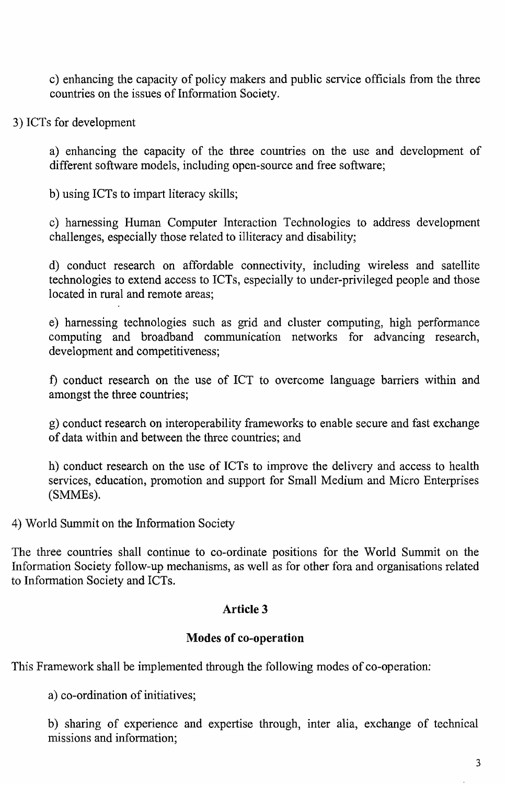c) enhancing the capacity of policy makers and public service officials from the three countries on the issues of Information Society.

3) ICTs for development

a) enhancing the capacity of the three countries on the use and development of different software models, including open-source and free software;

b) using ICTs to impart literacy skills;

c) harnessing Human Computer Interaction Technologies to address development challenges, especially those related to illiteracy and disability;

d) conduct research on affordable connectivity, including wireless and satellite technologies to extend access to ICTs, especially to under-privileged people and those located in rural and remote areas;

e) harnessing technologies such as grid and cluster computing, high performance computing and broadband communication networks for advancing research, development and competitiveness;

t) conduct research on the use of ICT to overcome language barriers within and amongst the three countries;

g) conduct research on interoperability frameworks to enable secure and fast exchange of data within and between the three countries; and

h) conduct research on the use of ICTs to improve the delivery and access to health services, education, promotion and support for Small Medium and Micro Enterprises (SMMEs).

4) World Summit on the fuformation Society

The three countries shall continue to co-ordinate positions for the World Summit on the Information Society follow-up mechanisms, as well as for other fora and organisations related to Information Society and ICTs.

## **Article 3**

## **Modes of co-operation**

This Framework shall be implemented through the following modes of co-operation:

a) co-ordination of initiatives;

b) sharing of experience and expertise through, inter alia, exchange of technical missions and information;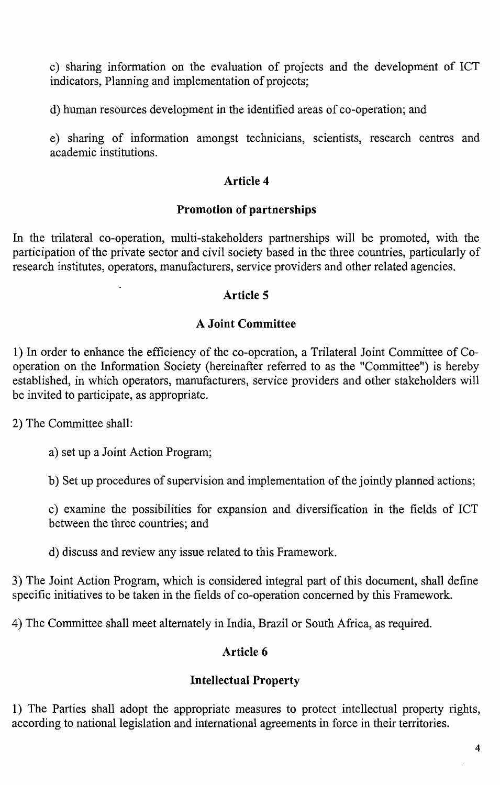c) sharing information on the evaluation of projects and the development of ICT indicators, Planning and implementation of projects;

d) human resources development in the identified areas of co-operation; and

e) sharing of information amongst technicians, scientists, research centres and academic institutions.

# **Article 4**

# **Promotion of partnerships**

In the trilateral co-operation, multi-stakeholders partnerships will be promoted, with the participation of the private sector and civil society based in the three countries, particularly of research institutes, operators, manufacturers, service providers and other related agencies.

## **Article 5**

# **A Joint Committee**

1) In order to enhance the efficiency of the co-operation, a Trilateral Joint Committee of Cooperation on the Information Society (hereinafter referred to as the "Committee") is hereby established, in which operators, manufacturers, service providers and other stakeholders will be invited to participate, as appropriate.

2) The Committee shall:

a) set up a Joint Action Program;

b) Set up procedures of supervision and implementation of the jointly planned actions;

c) examine the possibilities for expansion and diversification in the fields of ICT between the three countries; and

d) discuss and review any issue related to this Framework.

3) The Joint Action Program, which is considered integral part of this document, shall define specific initiatives to be taken in the fields of co-operation concerned by this Framework.

4) The Committee shall meet alternately in India, Brazil or South Africa, as required.

## **Article 6**

## **Intellectual Property**

1) The Parties shall adopt the appropriate measures to protect intellectual property rights, according to national legislation and international agreements in force in their territories.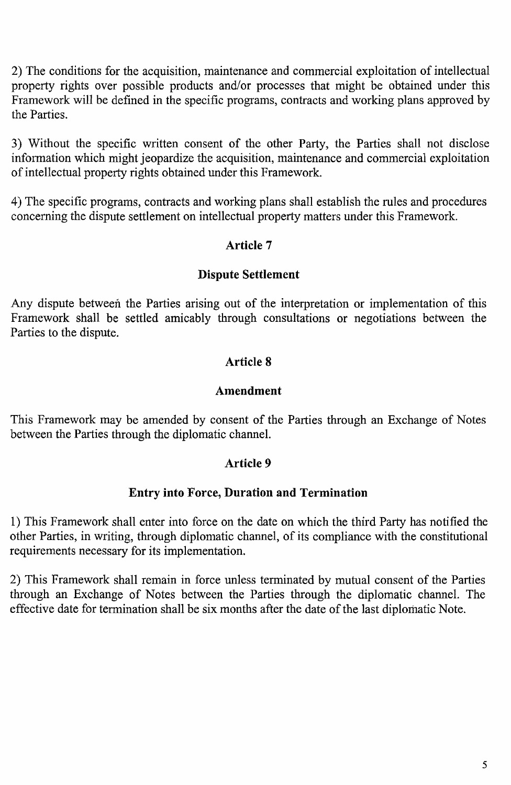2) The conditions for the acquisition, maintenance and commercial exploitation of intellectual property rights over possible products and/or processes that might be obtained under this Framework will be defined in the specific programs, contracts and working plans approved by the Parties.

3) Without the specific written consent of the other Party, the Parties shall not disclose information which might jeopardize the acquisition, maintenance and commercial exploitation of intellectual property rights obtained under this Framework.

4) The specific programs, contracts and working plans shall establish the rules and procedures concerning the dispute settlement on intellectual property matters under this Framework.

#### Article 7

#### Dispute Settlement

Any dispute between the Parties arising out of the interpretation or implementation of this Framework shall be settled amicably through consultations or negotiations between the Parties to the dispute.

#### Article 8

#### Amendment

This Framework may be amended by consent of the Parties through an Exchange of Notes between the Parties through the diplomatic channel.

#### Article 9

#### Entry into Force, Duration and Termination

1) This Framework shall enter into force on the date on which the third Party has notified the other Parties, in writing, through diplomatic channel, of its compliance with the constitutional requirements necessary for its implementation.

2) This Framework shall remain in force unless terminated by mutual consent of the Parties through an Exchange of Notes between the Parties through the diplomatic channel. The effective date for termination shall be six months after the date of the last diplomatic Note.